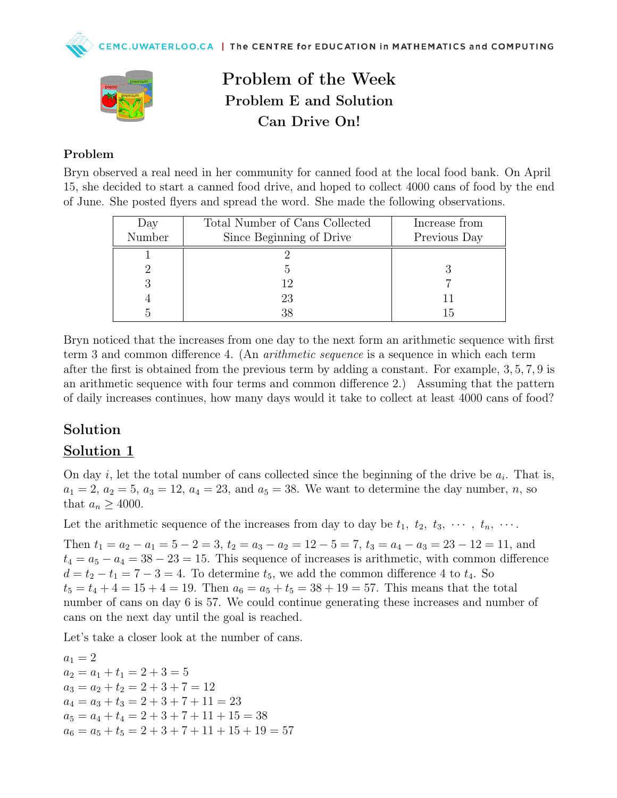

### Problem of the Week Problem E and Solution Can Drive On!

#### Problem

Bryn observed a real need in her community for canned food at the local food bank. On April 15, she decided to start a canned food drive, and hoped to collect 4000 cans of food by the end of June. She posted flyers and spread the word. She made the following observations.

| Day    | Total Number of Cans Collected | Increase from |
|--------|--------------------------------|---------------|
| Number | Since Beginning of Drive       | Previous Day  |
|        |                                |               |
|        |                                |               |
|        | 12                             |               |
|        | 23                             |               |
|        | 38                             |               |

Bryn noticed that the increases from one day to the next form an arithmetic sequence with first term 3 and common difference 4. (An arithmetic sequence is a sequence in which each term after the first is obtained from the previous term by adding a constant. For example, 3, 5, 7, 9 is an arithmetic sequence with four terms and common difference 2.) Assuming that the pattern of daily increases continues, how many days would it take to collect at least 4000 cans of food?

### Solution

### Solution 1

On day *i*, let the total number of cans collected since the beginning of the drive be  $a_i$ . That is,  $a_1 = 2, a_2 = 5, a_3 = 12, a_4 = 23, and a_5 = 38.$  We want to determine the day number, n, so that  $a_n \geq 4000$ .

Let the arithmetic sequence of the increases from day to day be  $t_1, t_2, t_3, \cdots, t_n, \cdots$ .

Then  $t_1 = a_2 - a_1 = 5 - 2 = 3$ ,  $t_2 = a_3 - a_2 = 12 - 5 = 7$ ,  $t_3 = a_4 - a_3 = 23 - 12 = 11$ , and  $t_4 = a_5 - a_4 = 38 - 23 = 15$ . This sequence of increases is arithmetic, with common difference  $d = t_2 - t_1 = 7 - 3 = 4$ . To determine  $t_5$ , we add the common difference 4 to  $t_4$ . So  $t_5 = t_4 + 4 = 15 + 4 = 19$ . Then  $a_6 = a_5 + t_5 = 38 + 19 = 57$ . This means that the total number of cans on day 6 is 57. We could continue generating these increases and number of cans on the next day until the goal is reached.

Let's take a closer look at the number of cans.

 $a_1 = 2$  $a_2 = a_1 + t_1 = 2 + 3 = 5$  $a_3 = a_2 + t_2 = 2 + 3 + 7 = 12$  $a_4 = a_3 + t_3 = 2 + 3 + 7 + 11 = 23$  $a_5 = a_4 + t_4 = 2 + 3 + 7 + 11 + 15 = 38$  $a_6 = a_5 + t_5 = 2 + 3 + 7 + 11 + 15 + 19 = 57$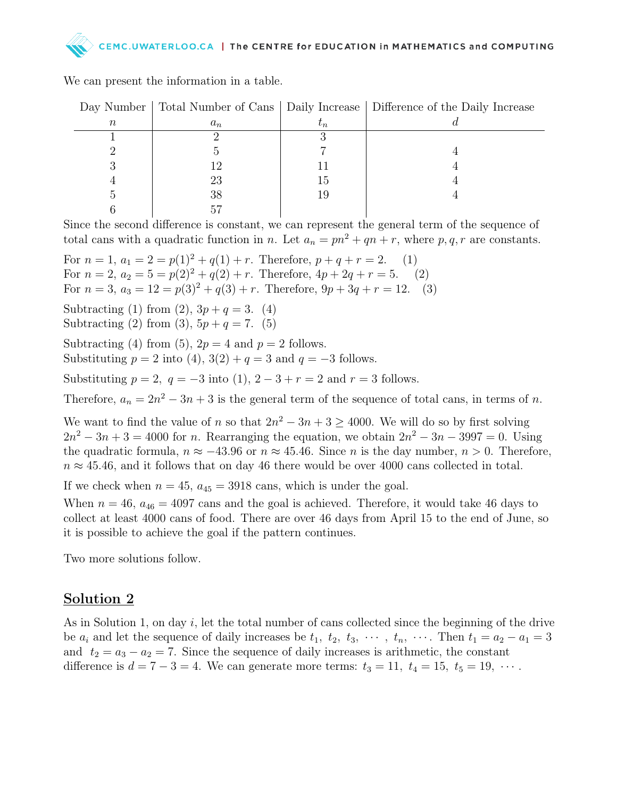# LOO.CA | The CENTRE for EDUCATION in MATHEMATICS and COMPUTING

|        |       |           | Day Number   Total Number of Cans   Daily Increase   Difference of the Daily Increase |
|--------|-------|-----------|---------------------------------------------------------------------------------------|
| $\, n$ | $a_n$ | $\iota_n$ |                                                                                       |
|        |       |           |                                                                                       |
|        |       |           |                                                                                       |
|        |       |           |                                                                                       |
|        | 23    | 15        |                                                                                       |
|        | 38    |           |                                                                                       |
|        |       |           |                                                                                       |

We can present the information in a table.

Since the second difference is constant, we can represent the general term of the sequence of total cans with a quadratic function in n. Let  $a_n = pn^2 + qn + r$ , where p, q, r are constants.

For  $n = 1$ ,  $a_1 = 2 = p(1)^2 + q(1) + r$ . Therefore,  $p + q + r = 2$ . (1) For  $n = 2$ ,  $a_2 = 5 = p(2)^2 + q(2) + r$ . Therefore,  $4p + 2q + r = 5$ . (2) For  $n = 3$ ,  $a_3 = 12 = p(3)^2 + q(3) + r$ . Therefore,  $9p + 3q + r = 12$ . (3) Subtracting (1) from (2),  $3p + q = 3$ . (4) Subtracting (2) from (3),  $5p + q = 7$ . (5) Subtracting (4) from (5),  $2p = 4$  and  $p = 2$  follows. Substituting  $p = 2$  into (4),  $3(2) + q = 3$  and  $q = -3$  follows. Substituting  $p = 2$ ,  $q = -3$  into (1),  $2 - 3 + r = 2$  and  $r = 3$  follows. Therefore,  $a_n = 2n^2 - 3n + 3$  is the general term of the sequence of total cans, in terms of n. We want to find the value of n so that  $2n^2 - 3n + 3 \ge 4000$ . We will do so by first solving  $2n^2 - 3n + 3 = 4000$  for n. Rearranging the equation, we obtain  $2n^2 - 3n - 3997 = 0$ . Using the quadratic formula,  $n \approx -43.96$  or  $n \approx 45.46$ . Since n is the day number,  $n > 0$ . Therefore,  $n \approx 45.46$ , and it follows that on day 46 there would be over 4000 cans collected in total.

If we check when  $n = 45$ ,  $a_{45} = 3918$  cans, which is under the goal.

When  $n = 46$ ,  $a_{46} = 4097$  cans and the goal is achieved. Therefore, it would take 46 days to collect at least 4000 cans of food. There are over 46 days from April 15 to the end of June, so it is possible to achieve the goal if the pattern continues.

Two more solutions follow.

### Solution 2

As in Solution 1, on day  $i$ , let the total number of cans collected since the beginning of the drive be  $a_i$  and let the sequence of daily increases be  $t_1$ ,  $t_2$ ,  $t_3$ ,  $\cdots$ ,  $t_n$ ,  $\cdots$ . Then  $t_1 = a_2 - a_1 = 3$ and  $t_2 = a_3 - a_2 = 7$ . Since the sequence of daily increases is arithmetic, the constant difference is  $d = 7 - 3 = 4$ . We can generate more terms:  $t_3 = 11$ ,  $t_4 = 15$ ,  $t_5 = 19$ ,  $\cdots$ .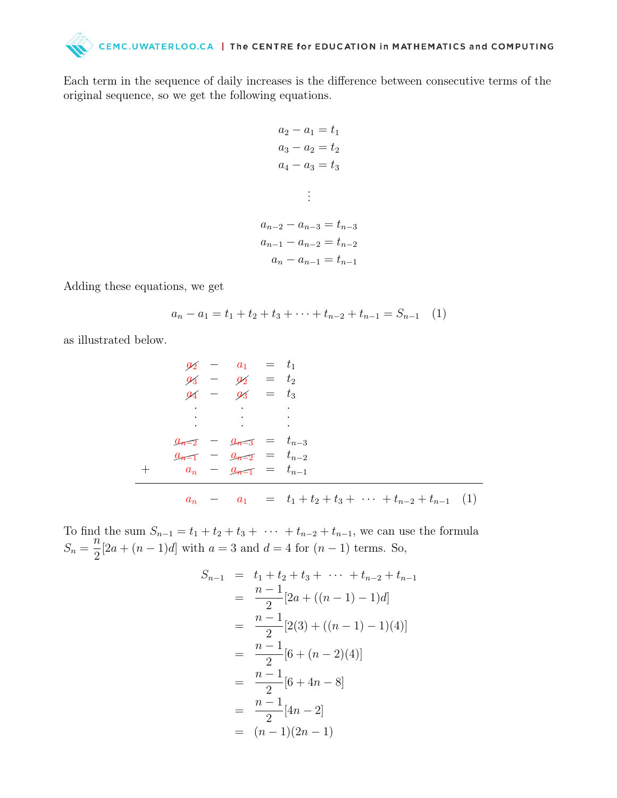## CEMC.UWATERLOO.CA | The CENTRE for EDUCATION in MATHEMATICS and COMPUTING

Each term in the sequence of daily increases is the difference between consecutive terms of the original sequence, so we get the following equations.

$$
a_2 - a_1 = t_1
$$
  
\n
$$
a_3 - a_2 = t_2
$$
  
\n
$$
a_4 - a_3 = t_3
$$
  
\n
$$
\vdots
$$
  
\n
$$
a_{n-2} - a_{n-3} = t_{n-3}
$$
  
\n
$$
a_{n-1} - a_{n-2} = t_{n-2}
$$

$$
a_n - a_{n-1} = t_{n-1}
$$

Adding these equations, we get

$$
a_n - a_1 = t_1 + t_2 + t_3 + \dots + t_{n-2} + t_{n-1} = S_{n-1} \quad (1)
$$

as illustrated below.

$$
\begin{array}{rcl}\n\mathcal{U}_2 & - & a_1 & = & t_1 \\
\mathcal{U}_3 & - & \mathcal{U}_2 & = & t_2 \\
\mathcal{U}_4 & - & \mathcal{U}_3 & = & t_3 \\
&\vdots & \vdots & \ddots & \vdots \\
\mathcal{U}_{n-2} & - & \mathcal{U}_{n-3} & = & t_{n-3} \\
\mathcal{U}_{n-1} & - & \mathcal{U}_{n-2} & = & t_{n-2} \\
&\vdots & & \vdots & \ddots & \vdots \\
a_n & - & \mathcal{U}_{n-1} & = & t_{n-1} \\
\end{array}
$$
\n
$$
\mathcal{U}_n
$$

To find the sum  $S_{n-1} = t_1 + t_2 + t_3 + \cdots + t_{n-2} + t_{n-1}$ , we can use the formula  $S_n =$  $\tilde{n}$ 2  $[2a + (n-1)d]$  with  $a = 3$  and  $d = 4$  for  $(n-1)$  terms. So,

$$
S_{n-1} = t_1 + t_2 + t_3 + \dots + t_{n-2} + t_{n-1}
$$
  
= 
$$
\frac{n-1}{2} [2a + ((n-1) - 1)d]
$$
  
= 
$$
\frac{n-1}{2} [2(3) + ((n-1) - 1)(4)]
$$
  
= 
$$
\frac{n-1}{2} [6 + (n-2)(4)]
$$
  
= 
$$
\frac{n-1}{2} [6 + 4n - 8]
$$
  
= 
$$
\frac{n-1}{2} [4n - 2]
$$
  
= 
$$
(n-1)(2n - 1)
$$